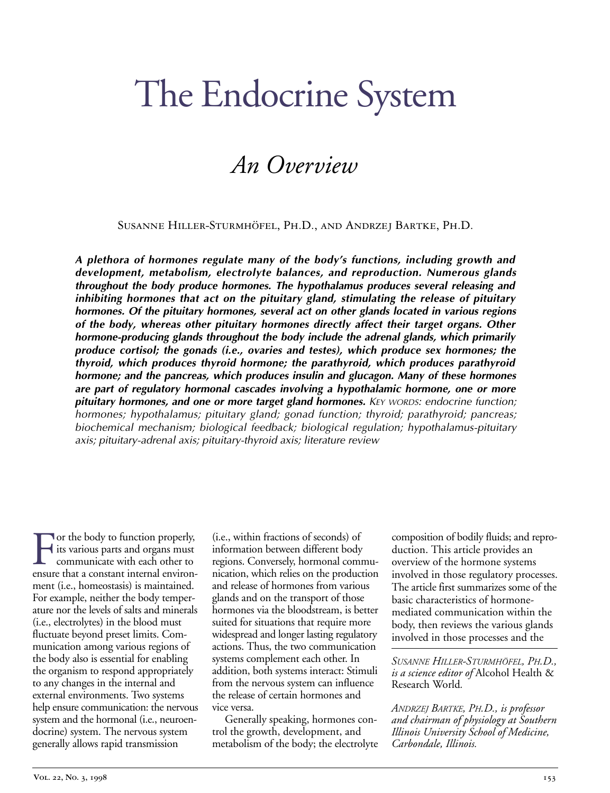# The Endocrine System

# *An Overview*

Susanne Hiller-Sturmhöfel, Ph.D., and Andrzej Bartke, Ph.D.

*A plethora of hormones regulate many of the body's functions, including growth and development, metabolism, electrolyte balances, and reproduction. Numerous glands throughout the body produce hormones. The hypothalamus produces several releasing and inhibiting hormones that act on the pituitary gland, stimulating the release of pituitary hormones. Of the pituitary hormones, several act on other glands located in various regions of the body, whereas other pituitary hormones directly affect their target organs. Other hormone-producing glands throughout the body include the adrenal glands, which primarily produce cortisol; the gonads (i.e., ovaries and testes), which produce sex hormones; the thyroid, which produces thyroid hormone; the parathyroid, which produces parathyroid hormone; and the pancreas, which produces insulin and glucagon. Many of these hormones are part of regulatory hormonal cascades involving a hypothalamic hormone, one or more pituitary hormones, and one or more target gland hormones. KEY WORDS: endocrine function; hormones; hypothalamus; pituitary gland; gonad function; thyroid; parathyroid; pancreas; biochemical mechanism; biological feedback; biological regulation; hypothalamus-pituitary axis; pituitary-adrenal axis; pituitary-thyroid axis; literature review*

For the body to function properly,<br>its various parts and organs must<br>communicate with each other to<br>ensure that a constant internal environ its various parts and organs must communicate with each other to ensure that a constant internal environment (i.e., homeostasis) is maintained. For example, neither the body temperature nor the levels of salts and minerals (i.e., electrolytes) in the blood must fluctuate beyond preset limits. Communication among various regions of the body also is essential for enabling the organism to respond appropriately to any changes in the internal and external environments. Two systems help ensure communication: the nervous system and the hormonal (i.e., neuroendocrine) system. The nervous system generally allows rapid transmission

(i.e., within fractions of seconds) of information between different body regions. Conversely, hormonal communication, which relies on the production and release of hormones from various glands and on the transport of those hormones via the bloodstream, is better suited for situations that require more widespread and longer lasting regulatory actions. Thus, the two communication systems complement each other. In addition, both systems interact: Stimuli from the nervous system can influence the release of certain hormones and vice versa.

Generally speaking, hormones control the growth, development, and metabolism of the body; the electrolyte

composition of bodily fluids; and reproduction. This article provides an overview of the hormone systems involved in those regulatory processes. The article first summarizes some of the basic characteristics of hormonemediated communication within the body, then reviews the various glands involved in those processes and the

*SUSANNE HILLER-STURMHÖFEL, PH.D., is a science editor of* Alcohol Health & Research World*.*

*ANDRZEJ BARTKE, PH.D., is professor and chairman of physiology at Southern Illinois University School of Medicine, Carbondale, Illinois.*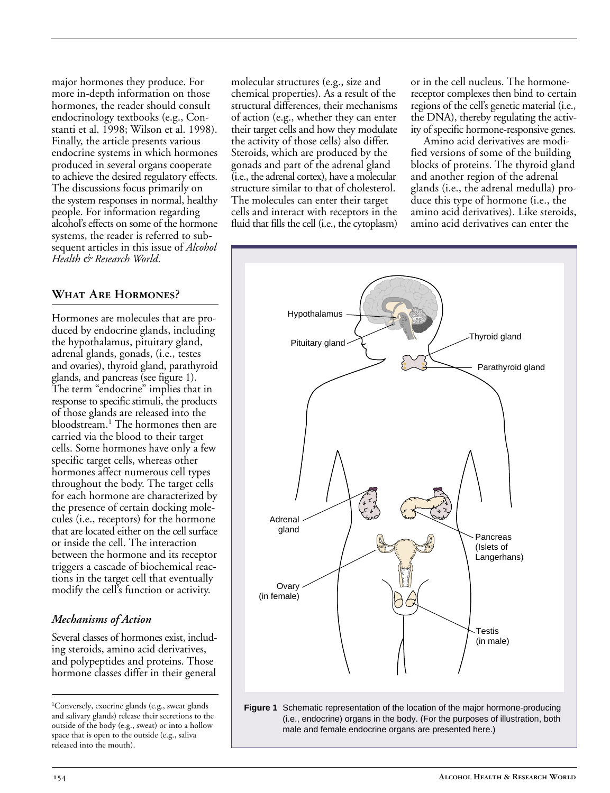major hormones they produce. For more in-depth information on those hormones, the reader should consult endocrinology textbooks (e.g., Constanti et al. 1998; Wilson et al. 1998). Finally, the article presents various endocrine systems in which hormones produced in several organs cooperate to achieve the desired regulatory effects. The discussions focus primarily on the system responses in normal, healthy people. For information regarding alcohol's effects on some of the hormone systems, the reader is referred to subsequent articles in this issue of *Alcohol Health & Research World*.

#### **What Are Hormones?**

Hormones are molecules that are produced by endocrine glands, including the hypothalamus, pituitary gland, adrenal glands, gonads, (i.e., testes and ovaries), thyroid gland, parathyroid glands, and pancreas (see figure 1). The term "endocrine" implies that in response to specific stimuli, the products of those glands are released into the bloodstream.<sup>1</sup> The hormones then are carried via the blood to their target cells. Some hormones have only a few specific target cells, whereas other hormones affect numerous cell types throughout the body. The target cells for each hormone are characterized by the presence of certain docking molecules (i.e., receptors) for the hormone that are located either on the cell surface or inside the cell. The interaction between the hormone and its receptor triggers a cascade of biochemical reactions in the target cell that eventually modify the cell's function or activity.

#### *Mechanisms of Action*

Several classes of hormones exist, including steroids, amino acid derivatives, and polypeptides and proteins. Those hormone classes differ in their general

1 Conversely, exocrine glands (e.g., sweat glands and salivary glands) release their secretions to the outside of the body (e.g., sweat) or into a hollow space that is open to the outside (e.g., saliva released into the mouth).

molecular structures (e.g., size and chemical properties). As a result of the structural differences, their mechanisms of action (e.g., whether they can enter their target cells and how they modulate the activity of those cells) also differ. Steroids, which are produced by the gonads and part of the adrenal gland (i.e., the adrenal cortex), have a molecular structure similar to that of cholesterol. The molecules can enter their target cells and interact with receptors in the fluid that fills the cell (i.e., the cytoplasm)

or in the cell nucleus. The hormonereceptor complexes then bind to certain regions of the cell's genetic material (i.e., the DNA), thereby regulating the activity of specific hormone-responsive genes.

Amino acid derivatives are modified versions of some of the building blocks of proteins. The thyroid gland and another region of the adrenal glands (i.e., the adrenal medulla) produce this type of hormone (i.e., the amino acid derivatives). Like steroids, amino acid derivatives can enter the

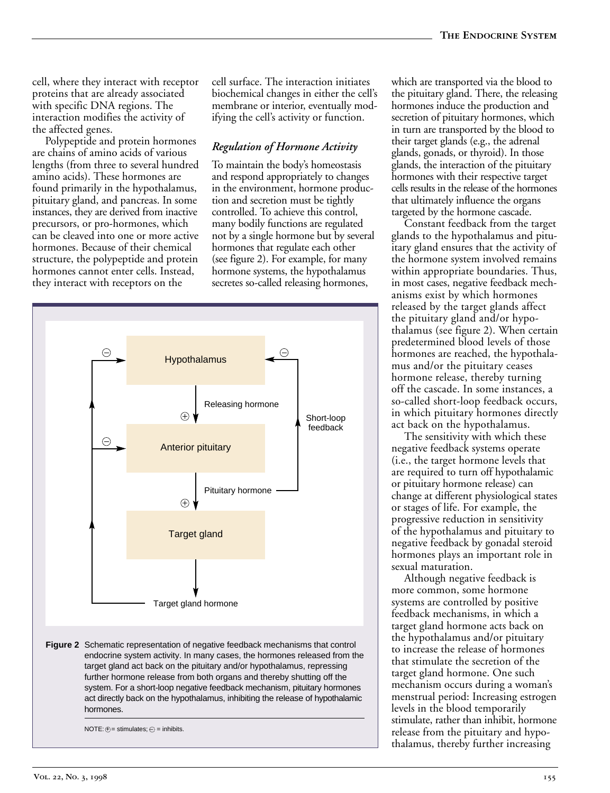cell, where they interact with receptor proteins that are already associated with specific DNA regions. The interaction modifies the activity of the affected genes.

Polypeptide and protein hormones are chains of amino acids of various lengths (from three to several hundred amino acids). These hormones are found primarily in the hypothalamus, pituitary gland, and pancreas. In some instances, they are derived from inactive precursors, or pro-hormones, which can be cleaved into one or more active hormones. Because of their chemical structure, the polypeptide and protein hormones cannot enter cells. Instead, they interact with receptors on the

cell surface. The interaction initiates biochemical changes in either the cell's membrane or interior, eventually modifying the cell's activity or function.

#### *Regulation of Hormone Activity*

To maintain the body's homeostasis and respond appropriately to changes in the environment, hormone production and secretion must be tightly controlled. To achieve this control, many bodily functions are regulated not by a single hormone but by several hormones that regulate each other (see figure 2). For example, for many hormone systems, the hypothalamus secretes so-called releasing hormones,



which are transported via the blood to the pituitary gland. There, the releasing hormones induce the production and secretion of pituitary hormones, which in turn are transported by the blood to their target glands (e.g., the adrenal glands, gonads, or thyroid). In those glands, the interaction of the pituitary hormones with their respective target cells results in the release of the hormones that ultimately influence the organs targeted by the hormone cascade.

Constant feedback from the target glands to the hypothalamus and pituitary gland ensures that the activity of the hormone system involved remains within appropriate boundaries. Thus, in most cases, negative feedback mechanisms exist by which hormones released by the target glands affect the pituitary gland and/or hypothalamus (see figure 2). When certain predetermined blood levels of those hormones are reached, the hypothalamus and/or the pituitary ceases hormone release, thereby turning off the cascade. In some instances, a so-called short-loop feedback occurs, in which pituitary hormones directly act back on the hypothalamus.

The sensitivity with which these negative feedback systems operate (i.e., the target hormone levels that are required to turn off hypothalamic or pituitary hormone release) can change at different physiological states or stages of life. For example, the progressive reduction in sensitivity of the hypothalamus and pituitary to negative feedback by gonadal steroid hormones plays an important role in sexual maturation.

Although negative feedback is more common, some hormone systems are controlled by positive feedback mechanisms, in which a target gland hormone acts back on the hypothalamus and/or pituitary to increase the release of hormones that stimulate the secretion of the target gland hormone. One such mechanism occurs during a woman's menstrual period: Increasing estrogen levels in the blood temporarily stimulate, rather than inhibit, hormone release from the pituitary and hypothalamus, thereby further increasing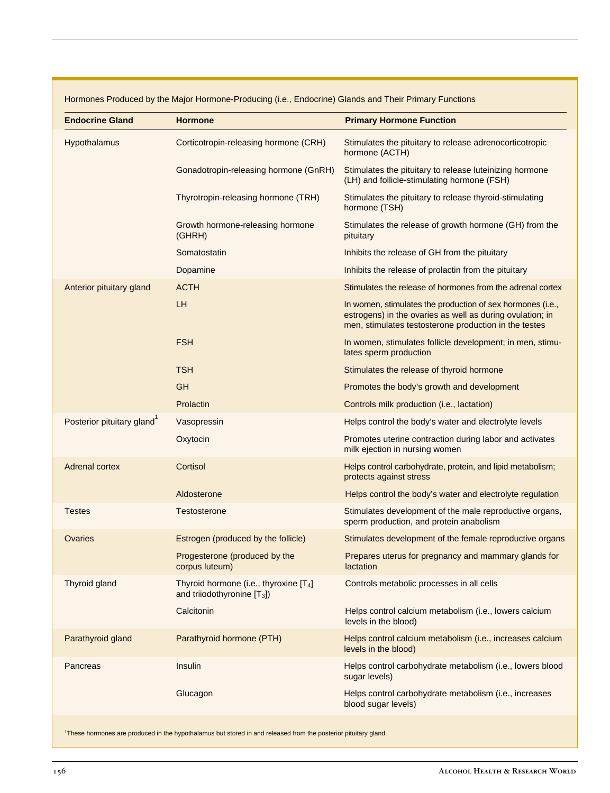| <b>Endocrine Gland</b>    | <b>Hormone</b>                                                             | <b>Primary Hormone Function</b>                                                                                                                                                  |
|---------------------------|----------------------------------------------------------------------------|----------------------------------------------------------------------------------------------------------------------------------------------------------------------------------|
| Hypothalamus              | Corticotropin-releasing hormone (CRH)                                      | Stimulates the pituitary to release adrenocorticotropic<br>hormone (ACTH)                                                                                                        |
|                           | Gonadotropin-releasing hormone (GnRH)                                      | Stimulates the pituitary to release luteinizing hormone<br>(LH) and follicle-stimulating hormone (FSH)                                                                           |
|                           | Thyrotropin-releasing hormone (TRH)                                        | Stimulates the pituitary to release thyroid-stimulating<br>hormone (TSH)                                                                                                         |
|                           | Growth hormone-releasing hormone<br>(GHRH)                                 | Stimulates the release of growth hormone (GH) from the<br>pituitary                                                                                                              |
|                           | Somatostatin                                                               | Inhibits the release of GH from the pituitary                                                                                                                                    |
|                           | Dopamine                                                                   | Inhibits the release of prolactin from the pituitary                                                                                                                             |
| Anterior pituitary gland  | <b>ACTH</b>                                                                | Stimulates the release of hormones from the adrenal cortex                                                                                                                       |
|                           | LH                                                                         | In women, stimulates the production of sex hormones (i.e.,<br>estrogens) in the ovaries as well as during ovulation; in<br>men, stimulates testosterone production in the testes |
|                           | <b>FSH</b>                                                                 | In women, stimulates follicle development; in men, stimu-<br>lates sperm production                                                                                              |
|                           | <b>TSH</b>                                                                 | Stimulates the release of thyroid hormone                                                                                                                                        |
|                           | <b>GH</b>                                                                  | Promotes the body's growth and development                                                                                                                                       |
|                           | Prolactin                                                                  | Controls milk production (i.e., lactation)                                                                                                                                       |
| Posterior pituitary gland | Vasopressin                                                                | Helps control the body's water and electrolyte levels                                                                                                                            |
|                           | Oxytocin                                                                   | Promotes uterine contraction during labor and activates<br>milk ejection in nursing women                                                                                        |
| <b>Adrenal cortex</b>     | Cortisol                                                                   | Helps control carbohydrate, protein, and lipid metabolism;<br>protects against stress                                                                                            |
|                           | Aldosterone                                                                | Helps control the body's water and electrolyte regulation                                                                                                                        |
| <b>Testes</b>             | Testosterone                                                               | Stimulates development of the male reproductive organs,<br>sperm production, and protein anabolism                                                                               |
| Ovaries                   | Estrogen (produced by the follicle)                                        | Stimulates development of the female reproductive organs                                                                                                                         |
|                           | Progesterone (produced by the<br>corpus luteum)                            | Prepares uterus for pregnancy and mammary glands for<br>lactation                                                                                                                |
| Thyroid gland             | Thyroid hormone (i.e., thyroxine $[T_4]$<br>and triiodothyronine $[T_3]$ ) | Controls metabolic processes in all cells                                                                                                                                        |
|                           | Calcitonin                                                                 | Helps control calcium metabolism (i.e., lowers calcium<br>levels in the blood)                                                                                                   |
| Parathyroid gland         | Parathyroid hormone (PTH)                                                  | Helps control calcium metabolism (i.e., increases calcium<br>levels in the blood)                                                                                                |
| Pancreas                  | Insulin                                                                    | Helps control carbohydrate metabolism (i.e., lowers blood<br>sugar levels)                                                                                                       |
|                           | Glucagon                                                                   | Helps control carbohydrate metabolism (i.e., increases<br>blood sugar levels)                                                                                                    |
|                           |                                                                            |                                                                                                                                                                                  |

1These hormones are produced in the hypothalamus but stored in and released from the posterior pituitary gland.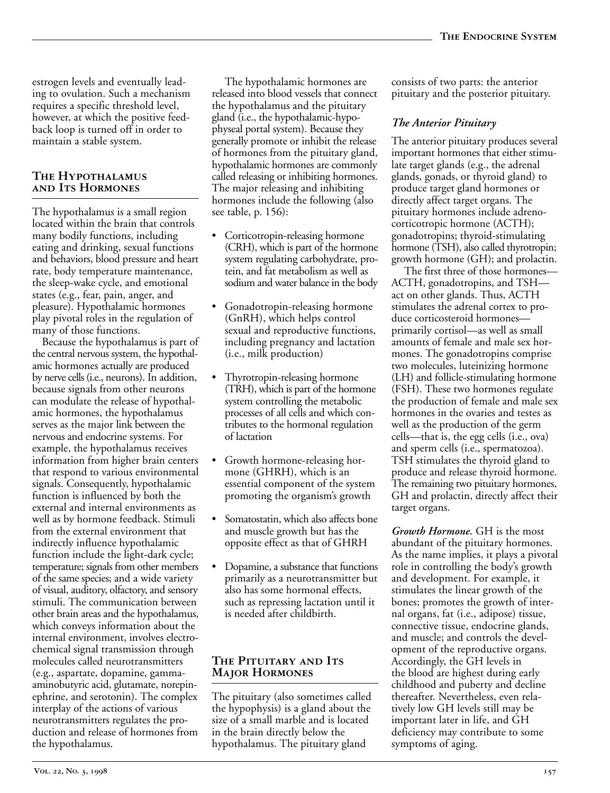estrogen levels and eventually leading to ovulation. Such a mechanism requires a specific threshold level, however, at which the positive feedback loop is turned off in order to maintain a stable system.

#### **The Hypothalamus and Its Hormones**

The hypothalamus is a small region located within the brain that controls many bodily functions, including eating and drinking, sexual functions and behaviors, blood pressure and heart rate, body temperature maintenance, the sleep-wake cycle, and emotional states (e.g., fear, pain, anger, and pleasure). Hypothalamic hormones play pivotal roles in the regulation of many of those functions.

Because the hypothalamus is part of the central nervous system, the hypothalamic hormones actually are produced by nerve cells (i.e., neurons). In addition, because signals from other neurons can modulate the release of hypothalamic hormones, the hypothalamus serves as the major link between the nervous and endocrine systems. For example, the hypothalamus receives information from higher brain centers that respond to various environmental signals. Consequently, hypothalamic function is influenced by both the external and internal environments as well as by hormone feedback. Stimuli from the external environment that indirectly influence hypothalamic function include the light-dark cycle; temperature; signals from other members of the same species; and a wide variety of visual, auditory, olfactory, and sensory stimuli. The communication between other brain areas and the hypothalamus, which conveys information about the internal environment, involves electrochemical signal transmission through molecules called neurotransmitters (e.g., aspartate, dopamine, gammaaminobutyric acid, glutamate, norepinephrine, and serotonin). The complex interplay of the actions of various neurotransmitters regulates the production and release of hormones from the hypothalamus.

The hypothalamic hormones are released into blood vessels that connect the hypothalamus and the pituitary gland (i.e., the hypothalamic-hypophyseal portal system). Because they generally promote or inhibit the release of hormones from the pituitary gland, hypothalamic hormones are commonly called releasing or inhibiting hormones. The major releasing and inhibiting hormones include the following (also see table, p. 156):

- Corticotropin-releasing hormone (CRH), which is part of the hormone system regulating carbohydrate, protein, and fat metabolism as well as sodium and water balance in the body
- Gonadotropin-releasing hormone (GnRH), which helps control sexual and reproductive functions, including pregnancy and lactation (i.e., milk production)
- Thyrotropin-releasing hormone (TRH), which is part of the hormone system controlling the metabolic processes of all cells and which contributes to the hormonal regulation of lactation
- Growth hormone-releasing hormone (GHRH), which is an essential component of the system promoting the organism's growth
- Somatostatin, which also affects bone and muscle growth but has the opposite effect as that of GHRH
- Dopamine, a substance that functions primarily as a neurotransmitter but also has some hormonal effects, such as repressing lactation until it is needed after childbirth.

#### **The Pituitary and Its Major Hormones**

The pituitary (also sometimes called the hypophysis) is a gland about the size of a small marble and is located in the brain directly below the hypothalamus. The pituitary gland

consists of two parts: the anterior pituitary and the posterior pituitary.

# *The Anterior Pituitary*

The anterior pituitary produces several important hormones that either stimulate target glands (e.g., the adrenal glands, gonads, or thyroid gland) to produce target gland hormones or directly affect target organs. The pituitary hormones include adrenocorticotropic hormone (ACTH); gonadotropins; thyroid-stimulating hormone (TSH), also called thyrotropin; growth hormone (GH); and prolactin.

The first three of those hormones— ACTH, gonadotropins, and TSH act on other glands. Thus, ACTH stimulates the adrenal cortex to produce corticosteroid hormones primarily cortisol—as well as small amounts of female and male sex hormones. The gonadotropins comprise two molecules, luteinizing hormone (LH) and follicle-stimulating hormone (FSH). These two hormones regulate the production of female and male sex hormones in the ovaries and testes as well as the production of the germ cells—that is, the egg cells (i.e., ova) and sperm cells (i.e., spermatozoa). TSH stimulates the thyroid gland to produce and release thyroid hormone. The remaining two pituitary hormones, GH and prolactin, directly affect their target organs.

*Growth Hormone.* GH is the most abundant of the pituitary hormones. As the name implies, it plays a pivotal role in controlling the body's growth and development. For example, it stimulates the linear growth of the bones; promotes the growth of internal organs, fat (i.e., adipose) tissue, connective tissue, endocrine glands, and muscle; and controls the development of the reproductive organs. Accordingly, the GH levels in the blood are highest during early childhood and puberty and decline thereafter. Nevertheless, even relatively low GH levels still may be important later in life, and GH deficiency may contribute to some symptoms of aging.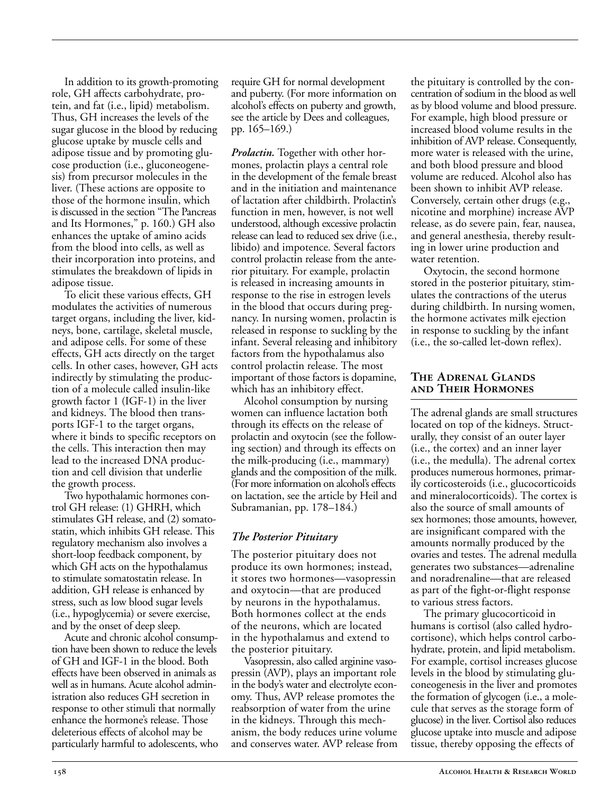In addition to its growth-promoting role, GH affects carbohydrate, protein, and fat (i.e., lipid) metabolism. Thus, GH increases the levels of the sugar glucose in the blood by reducing glucose uptake by muscle cells and adipose tissue and by promoting glucose production (i.e., gluconeogenesis) from precursor molecules in the liver. (These actions are opposite to those of the hormone insulin, which is discussed in the section "The Pancreas and Its Hormones," p. 160.) GH also enhances the uptake of amino acids from the blood into cells, as well as their incorporation into proteins, and stimulates the breakdown of lipids in adipose tissue.

To elicit these various effects, GH modulates the activities of numerous target organs, including the liver, kidneys, bone, cartilage, skeletal muscle, and adipose cells. For some of these effects, GH acts directly on the target cells. In other cases, however, GH acts indirectly by stimulating the production of a molecule called insulin-like growth factor 1 (IGF-1) in the liver and kidneys. The blood then transports IGF-1 to the target organs, where it binds to specific receptors on the cells. This interaction then may lead to the increased DNA production and cell division that underlie the growth process.

Two hypothalamic hormones control GH release: (1) GHRH, which stimulates GH release, and (2) somatostatin, which inhibits GH release. This regulatory mechanism also involves a short-loop feedback component, by which GH acts on the hypothalamus to stimulate somatostatin release. In addition, GH release is enhanced by stress, such as low blood sugar levels (i.e., hypoglycemia) or severe exercise, and by the onset of deep sleep.

Acute and chronic alcohol consumption have been shown to reduce the levels of GH and IGF-1 in the blood. Both effects have been observed in animals as well as in humans. Acute alcohol administration also reduces GH secretion in response to other stimuli that normally enhance the hormone's release. Those deleterious effects of alcohol may be particularly harmful to adolescents, who require GH for normal development and puberty. (For more information on alcohol's effects on puberty and growth, see the article by Dees and colleagues, pp. 165–169.)

*Prolactin.* Together with other hormones, prolactin plays a central role in the development of the female breast and in the initiation and maintenance of lactation after childbirth. Prolactin's function in men, however, is not well understood, although excessive prolactin release can lead to reduced sex drive (i.e., libido) and impotence. Several factors control prolactin release from the anterior pituitary. For example, prolactin is released in increasing amounts in response to the rise in estrogen levels in the blood that occurs during pregnancy. In nursing women, prolactin is released in response to suckling by the infant. Several releasing and inhibitory factors from the hypothalamus also control prolactin release. The most important of those factors is dopamine, which has an inhibitory effect.

Alcohol consumption by nursing women can influence lactation both through its effects on the release of prolactin and oxytocin (see the following section) and through its effects on the milk-producing (i.e., mammary) glands and the composition of the milk. (For more information on alcohol's effects on lactation, see the article by Heil and Subramanian, pp. 178–184.)

#### *The Posterior Pituitary*

The posterior pituitary does not produce its own hormones; instead, it stores two hormones—vasopressin and oxytocin—that are produced by neurons in the hypothalamus. Both hormones collect at the ends of the neurons, which are located in the hypothalamus and extend to the posterior pituitary.

Vasopressin, also called arginine vasopressin (AVP), plays an important role in the body's water and electrolyte economy. Thus, AVP release promotes the reabsorption of water from the urine in the kidneys. Through this mechanism, the body reduces urine volume and conserves water. AVP release from the pituitary is controlled by the concentration of sodium in the blood as well as by blood volume and blood pressure. For example, high blood pressure or increased blood volume results in the inhibition of AVP release. Consequently, more water is released with the urine, and both blood pressure and blood volume are reduced. Alcohol also has been shown to inhibit AVP release. Conversely, certain other drugs (e.g., nicotine and morphine) increase AVP release, as do severe pain, fear, nausea, and general anesthesia, thereby resulting in lower urine production and water retention.

Oxytocin, the second hormone stored in the posterior pituitary, stimulates the contractions of the uterus during childbirth. In nursing women, the hormone activates milk ejection in response to suckling by the infant (i.e., the so-called let-down reflex).

#### **The Adrenal Glands and Their Hormones**

The adrenal glands are small structures located on top of the kidneys. Structurally, they consist of an outer layer (i.e., the cortex) and an inner layer (i.e., the medulla). The adrenal cortex produces numerous hormones, primarily corticosteroids (i.e., glucocorticoids and mineralocorticoids). The cortex is also the source of small amounts of sex hormones; those amounts, however, are insignificant compared with the amounts normally produced by the ovaries and testes. The adrenal medulla generates two substances—adrenaline and noradrenaline—that are released as part of the fight-or-flight response to various stress factors.

The primary glucocorticoid in humans is cortisol (also called hydrocortisone), which helps control carbohydrate, protein, and lipid metabolism. For example, cortisol increases glucose levels in the blood by stimulating gluconeogenesis in the liver and promotes the formation of glycogen (i.e., a molecule that serves as the storage form of glucose) in the liver. Cortisol also reduces glucose uptake into muscle and adipose tissue, thereby opposing the effects of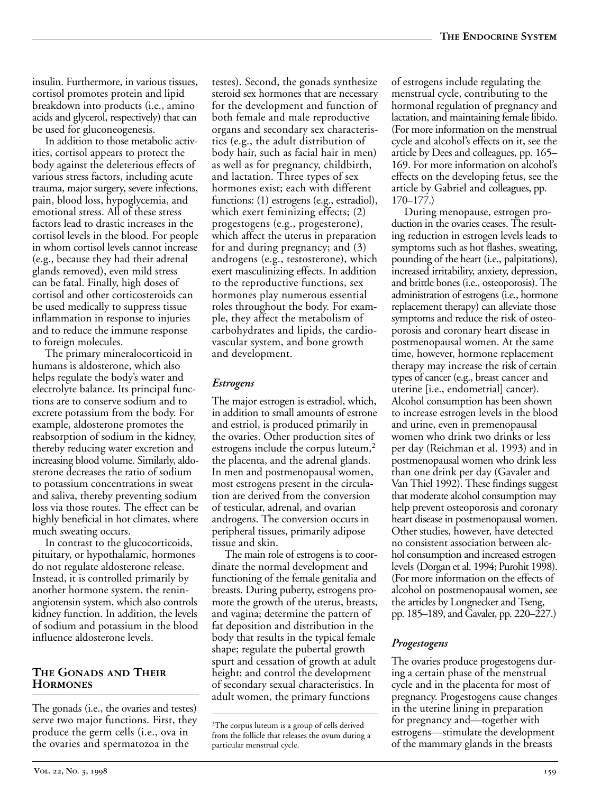insulin. Furthermore, in various tissues, cortisol promotes protein and lipid breakdown into products (i.e., amino acids and glycerol, respectively) that can be used for gluconeogenesis.

In addition to those metabolic activities, cortisol appears to protect the body against the deleterious effects of various stress factors, including acute trauma, major surgery, severe infections, pain, blood loss, hypoglycemia, and emotional stress. All of these stress factors lead to drastic increases in the cortisol levels in the blood. For people in whom cortisol levels cannot increase (e.g., because they had their adrenal glands removed), even mild stress can be fatal. Finally, high doses of cortisol and other corticosteroids can be used medically to suppress tissue inflammation in response to injuries and to reduce the immune response to foreign molecules.

The primary mineralocorticoid in humans is aldosterone, which also helps regulate the body's water and electrolyte balance. Its principal functions are to conserve sodium and to excrete potassium from the body. For example, aldosterone promotes the reabsorption of sodium in the kidney, thereby reducing water excretion and increasing blood volume. Similarly, aldosterone decreases the ratio of sodium to potassium concentrations in sweat and saliva, thereby preventing sodium loss via those routes. The effect can be highly beneficial in hot climates, where much sweating occurs.

In contrast to the glucocorticoids, pituitary, or hypothalamic, hormones do not regulate aldosterone release. Instead, it is controlled primarily by another hormone system, the reninangiotensin system, which also controls kidney function. In addition, the levels of sodium and potassium in the blood influence aldosterone levels.

#### **The Gonads and Their Hormones**

The gonads (i.e., the ovaries and testes) serve two major functions. First, they produce the germ cells (i.e., ova in the ovaries and spermatozoa in the

testes). Second, the gonads synthesize steroid sex hormones that are necessary for the development and function of both female and male reproductive organs and secondary sex characteristics (e.g., the adult distribution of body hair, such as facial hair in men) as well as for pregnancy, childbirth, and lactation. Three types of sex hormones exist; each with different functions: (1) estrogens (e.g., estradiol), which exert feminizing effects; (2) progestogens (e.g., progesterone), which affect the uterus in preparation for and during pregnancy; and (3) androgens (e.g., testosterone), which exert masculinizing effects. In addition to the reproductive functions, sex hormones play numerous essential roles throughout the body. For example, they affect the metabolism of carbohydrates and lipids, the cardiovascular system, and bone growth and development.

#### *Estrogens*

The major estrogen is estradiol, which, in addition to small amounts of estrone and estriol, is produced primarily in the ovaries. Other production sites of estrogens include the corpus luteum,<sup>2</sup> the placenta, and the adrenal glands. In men and postmenopausal women, most estrogens present in the circulation are derived from the conversion of testicular, adrenal, and ovarian androgens. The conversion occurs in peripheral tissues, primarily adipose tissue and skin.

The main role of estrogens is to coordinate the normal development and functioning of the female genitalia and breasts. During puberty, estrogens promote the growth of the uterus, breasts, and vagina; determine the pattern of fat deposition and distribution in the body that results in the typical female shape; regulate the pubertal growth spurt and cessation of growth at adult height; and control the development of secondary sexual characteristics. In adult women, the primary functions

of estrogens include regulating the menstrual cycle, contributing to the hormonal regulation of pregnancy and lactation, and maintaining female libido. (For more information on the menstrual cycle and alcohol's effects on it, see the article by Dees and colleagues, pp. 165– 169. For more information on alcohol's effects on the developing fetus, see the article by Gabriel and colleagues, pp. 170–177.)

During menopause, estrogen production in the ovaries ceases. The resulting reduction in estrogen levels leads to symptoms such as hot flashes, sweating, pounding of the heart (i.e., palpitations), increased irritability, anxiety, depression, and brittle bones (i.e., osteoporosis). The administration of estrogens (i.e., hormone replacement therapy) can alleviate those symptoms and reduce the risk of osteoporosis and coronary heart disease in postmenopausal women. At the same time, however, hormone replacement therapy may increase the risk of certain types of cancer (e.g., breast cancer and uterine [i.e., endometrial] cancer). Alcohol consumption has been shown to increase estrogen levels in the blood and urine, even in premenopausal women who drink two drinks or less per day (Reichman et al. 1993) and in postmenopausal women who drink less than one drink per day (Gavaler and Van Thiel 1992). These findings suggest that moderate alcohol consumption may help prevent osteoporosis and coronary heart disease in postmenopausal women. Other studies, however, have detected no consistent association between alchol consumption and increased estrogen levels (Dorgan et al. 1994; Purohit 1998). (For more information on the effects of alcohol on postmenopausal women, see the articles by Longnecker and Tseng, pp. 185–189, and Gavaler, pp. 220–227.)

# *Progestogens*

The ovaries produce progestogens during a certain phase of the menstrual cycle and in the placenta for most of pregnancy. Progestogens cause changes in the uterine lining in preparation for pregnancy and—together with estrogens—stimulate the development of the mammary glands in the breasts

<sup>2</sup> The corpus luteum is a group of cells derived from the follicle that releases the ovum during a particular menstrual cycle.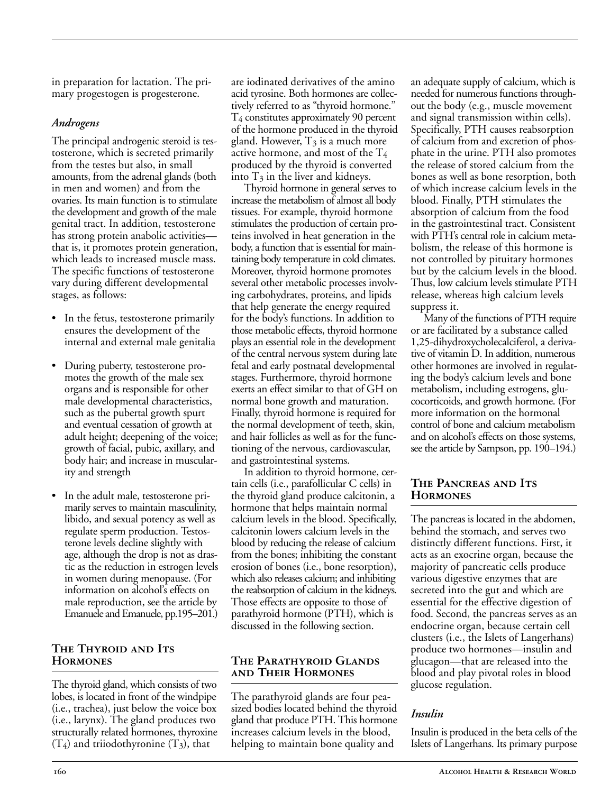in preparation for lactation. The primary progestogen is progesterone.

#### *Androgens*

The principal androgenic steroid is testosterone, which is secreted primarily from the testes but also, in small amounts, from the adrenal glands (both in men and women) and from the ovaries. Its main function is to stimulate the development and growth of the male genital tract. In addition, testosterone has strong protein anabolic activities that is, it promotes protein generation, which leads to increased muscle mass. The specific functions of testosterone vary during different developmental stages, as follows:

- In the fetus, testosterone primarily ensures the development of the internal and external male genitalia
- During puberty, testosterone promotes the growth of the male sex organs and is responsible for other male developmental characteristics, such as the pubertal growth spurt and eventual cessation of growth at adult height; deepening of the voice; growth of facial, pubic, axillary, and body hair; and increase in muscularity and strength
- In the adult male, testosterone primarily serves to maintain masculinity, libido, and sexual potency as well as regulate sperm production. Testosterone levels decline slightly with age, although the drop is not as drastic as the reduction in estrogen levels in women during menopause. (For information on alcohol's effects on male reproduction, see the article by Emanuele and Emanuele, pp.195–201.)

#### **The Thyroid and Its Hormones**

The thyroid gland, which consists of two lobes, is located in front of the windpipe (i.e., trachea), just below the voice box (i.e., larynx). The gland produces two structurally related hormones, thyroxine  $(T_4)$  and triiodothyronine  $(T_3)$ , that

are iodinated derivatives of the amino acid tyrosine. Both hormones are collectively referred to as "thyroid hormone." T4 constitutes approximately 90 percent of the hormone produced in the thyroid gland. However,  $T_3$  is a much more active hormone, and most of the  $T_4$ produced by the thyroid is converted into  $T_3$  in the liver and kidneys.

Thyroid hormone in general serves to increase the metabolism of almost all body tissues. For example, thyroid hormone stimulates the production of certain proteins involved in heat generation in the body, a function that is essential for maintaining body temperature in cold climates. Moreover, thyroid hormone promotes several other metabolic processes involving carbohydrates, proteins, and lipids that help generate the energy required for the body's functions. In addition to those metabolic effects, thyroid hormone plays an essential role in the development of the central nervous system during late fetal and early postnatal developmental stages. Furthermore, thyroid hormone exerts an effect similar to that of GH on normal bone growth and maturation. Finally, thyroid hormone is required for the normal development of teeth, skin, and hair follicles as well as for the functioning of the nervous, cardiovascular, and gastrointestinal systems.

In addition to thyroid hormone, certain cells (i.e., parafollicular C cells) in the thyroid gland produce calcitonin, a hormone that helps maintain normal calcium levels in the blood. Specifically, calcitonin lowers calcium levels in the blood by reducing the release of calcium from the bones; inhibiting the constant erosion of bones (i.e., bone resorption), which also releases calcium; and inhibiting the reabsorption of calcium in the kidneys. Those effects are opposite to those of parathyroid hormone (PTH), which is discussed in the following section.

#### **The Parathyroid Glands and Their Hormones**

The parathyroid glands are four peasized bodies located behind the thyroid gland that produce PTH. This hormone increases calcium levels in the blood, helping to maintain bone quality and

an adequate supply of calcium, which is needed for numerous functions throughout the body (e.g., muscle movement and signal transmission within cells). Specifically, PTH causes reabsorption of calcium from and excretion of phosphate in the urine. PTH also promotes the release of stored calcium from the bones as well as bone resorption, both of which increase calcium levels in the blood. Finally, PTH stimulates the absorption of calcium from the food in the gastrointestinal tract. Consistent with PTH's central role in calcium metabolism, the release of this hormone is not controlled by pituitary hormones but by the calcium levels in the blood. Thus, low calcium levels stimulate PTH release, whereas high calcium levels suppress it.

Many of the functions of PTH require or are facilitated by a substance called 1,25-dihydroxycholecalciferol, a derivative of vitamin D. In addition, numerous other hormones are involved in regulating the body's calcium levels and bone metabolism, including estrogens, glucocorticoids, and growth hormone. (For more information on the hormonal control of bone and calcium metabolism and on alcohol's effects on those systems, see the article by Sampson, pp. 190–194.)

#### **The Pancreas and Its Hormones**

The pancreas is located in the abdomen, behind the stomach, and serves two distinctly different functions. First, it acts as an exocrine organ, because the majority of pancreatic cells produce various digestive enzymes that are secreted into the gut and which are essential for the effective digestion of food. Second, the pancreas serves as an endocrine organ, because certain cell clusters (i.e., the Islets of Langerhans) produce two hormones—insulin and glucagon—that are released into the blood and play pivotal roles in blood glucose regulation.

# *Insulin*

Insulin is produced in the beta cells of the Islets of Langerhans. Its primary purpose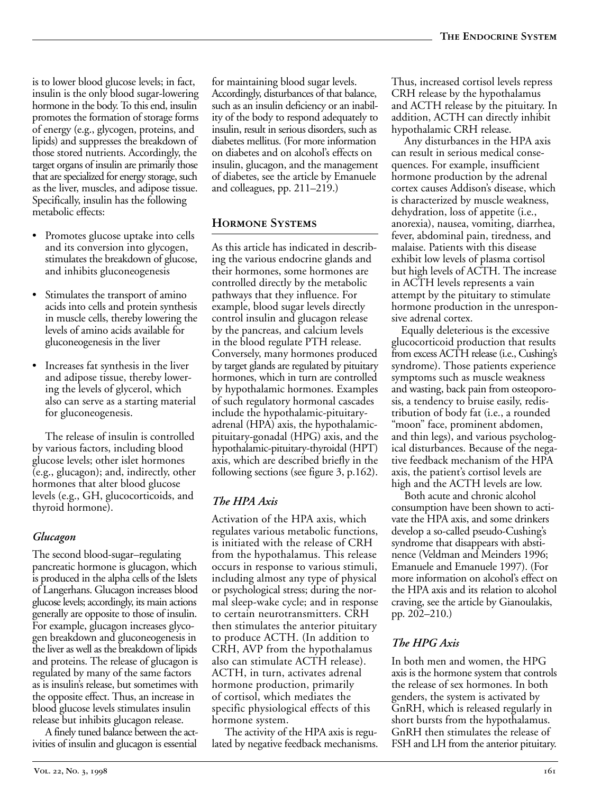is to lower blood glucose levels; in fact, insulin is the only blood sugar-lowering hormone in the body. To this end, insulin promotes the formation of storage forms of energy (e.g., glycogen, proteins, and lipids) and suppresses the breakdown of those stored nutrients. Accordingly, the target organs of insulin are primarily those that are specialized for energy storage, such as the liver, muscles, and adipose tissue. Specifically, insulin has the following metabolic effects:

- Promotes glucose uptake into cells and its conversion into glycogen, stimulates the breakdown of glucose, and inhibits gluconeogenesis
- Stimulates the transport of amino acids into cells and protein synthesis in muscle cells, thereby lowering the levels of amino acids available for gluconeogenesis in the liver
- Increases fat synthesis in the liver and adipose tissue, thereby lowering the levels of glycerol, which also can serve as a starting material for gluconeogenesis.

The release of insulin is controlled by various factors, including blood glucose levels; other islet hormones (e.g., glucagon); and, indirectly, other hormones that alter blood glucose levels (e.g., GH, glucocorticoids, and thyroid hormone).

# *Glucagon*

The second blood-sugar–regulating pancreatic hormone is glucagon, which is produced in the alpha cells of the Islets of Langerhans. Glucagon increases blood glucose levels; accordingly, its main actions generally are opposite to those of insulin. For example, glucagon increases glycogen breakdown and gluconeogenesis in the liver as well as the breakdown of lipids and proteins. The release of glucagon is regulated by many of the same factors as is insulin's release, but sometimes with the opposite effect. Thus, an increase in blood glucose levels stimulates insulin release but inhibits glucagon release.

A finely tuned balance between the activities of insulin and glucagon is essential

for maintaining blood sugar levels. Accordingly, disturbances of that balance, such as an insulin deficiency or an inability of the body to respond adequately to insulin, result in serious disorders, such as diabetes mellitus. (For more information on diabetes and on alcohol's effects on insulin, glucagon, and the management of diabetes, see the article by Emanuele and colleagues, pp. 211–219.)

# **Hormone Systems**

As this article has indicated in describing the various endocrine glands and their hormones, some hormones are controlled directly by the metabolic pathways that they influence. For example, blood sugar levels directly control insulin and glucagon release by the pancreas, and calcium levels in the blood regulate PTH release. Conversely, many hormones produced by target glands are regulated by pituitary hormones, which in turn are controlled by hypothalamic hormones. Examples of such regulatory hormonal cascades include the hypothalamic-pituitaryadrenal (HPA) axis, the hypothalamicpituitary-gonadal (HPG) axis, and the hypothalamic-pituitary-thyroidal (HPT) axis, which are described briefly in the following sections (see figure 3, p.162).

# *The HPA Axis*

Activation of the HPA axis, which regulates various metabolic functions, is initiated with the release of CRH from the hypothalamus. This release occurs in response to various stimuli, including almost any type of physical or psychological stress; during the normal sleep-wake cycle; and in response to certain neurotransmitters. CRH then stimulates the anterior pituitary to produce ACTH. (In addition to CRH, AVP from the hypothalamus also can stimulate ACTH release). ACTH, in turn, activates adrenal hormone production, primarily of cortisol, which mediates the specific physiological effects of this hormone system.

The activity of the HPA axis is regulated by negative feedback mechanisms. Thus, increased cortisol levels repress CRH release by the hypothalamus and ACTH release by the pituitary. In addition, ACTH can directly inhibit hypothalamic CRH release.

Any disturbances in the HPA axis can result in serious medical consequences. For example, insufficient hormone production by the adrenal cortex causes Addison's disease, which is characterized by muscle weakness, dehydration, loss of appetite (i.e., anorexia), nausea, vomiting, diarrhea, fever, abdominal pain, tiredness, and malaise. Patients with this disease exhibit low levels of plasma cortisol but high levels of ACTH. The increase in ACTH levels represents a vain attempt by the pituitary to stimulate hormone production in the unresponsive adrenal cortex.

Equally deleterious is the excessive glucocorticoid production that results from excess ACTH release (i.e., Cushing's syndrome). Those patients experience symptoms such as muscle weakness and wasting, back pain from osteoporosis, a tendency to bruise easily, redistribution of body fat (i.e., a rounded "moon" face, prominent abdomen, and thin legs), and various psychological disturbances. Because of the negative feedback mechanism of the HPA axis, the patient's cortisol levels are high and the ACTH levels are low.

Both acute and chronic alcohol consumption have been shown to activate the HPA axis, and some drinkers develop a so-called pseudo-Cushing's syndrome that disappears with abstinence (Veldman and Meinders 1996; Emanuele and Emanuele 1997). (For more information on alcohol's effect on the HPA axis and its relation to alcohol craving, see the article by Gianoulakis, pp. 202–210.)

# *The HPG Axis*

In both men and women, the HPG axis is the hormone system that controls the release of sex hormones. In both genders, the system is activated by GnRH, which is released regularly in short bursts from the hypothalamus. GnRH then stimulates the release of FSH and LH from the anterior pituitary.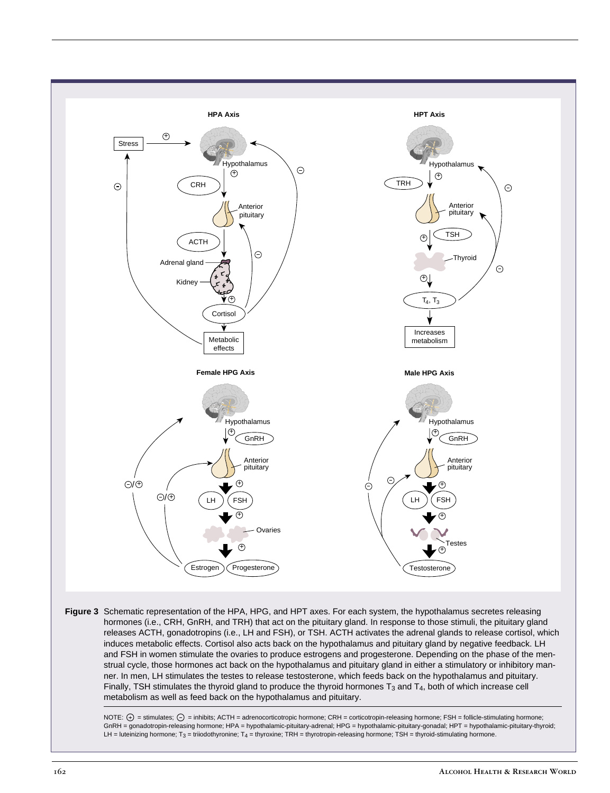

**Figure 3** Schematic representation of the HPA, HPG, and HPT axes. For each system, the hypothalamus secretes releasing hormones (i.e., CRH, GnRH, and TRH) that act on the pituitary gland. In response to those stimuli, the pituitary gland releases ACTH, gonadotropins (i.e., LH and FSH), or TSH. ACTH activates the adrenal glands to release cortisol, which induces metabolic effects. Cortisol also acts back on the hypothalamus and pituitary gland by negative feedback. LH and FSH in women stimulate the ovaries to produce estrogens and progesterone. Depending on the phase of the menstrual cycle, those hormones act back on the hypothalamus and pituitary gland in either a stimulatory or inhibitory manner. In men, LH stimulates the testes to release testosterone, which feeds back on the hypothalamus and pituitary. Finally, TSH stimulates the thyroid gland to produce the thyroid hormones  $T_3$  and  $T_4$ , both of which increase cell metabolism as well as feed back on the hypothalamus and pituitary.

NOTE:  $\oplus$  = stimulates;  $\ominus$  = inhibits; ACTH = adrenocorticotropic hormone; CRH = corticotropin-releasing hormone; FSH = follicle-stimulating hormone; GnRH = gonadotropin-releasing hormone; HPA = hypothalamic-pituitary-adrenal; HPG = hypothalamic-pituitary-gonadal; HPT = hypothalamic-pituitary-thyroid; LH = luteinizing hormone; T<sub>3</sub> = triiodothyronine; T<sub>4</sub> = thyroxine; TRH = thyrotropin-releasing hormone; TSH = thyroid-stimulating hormone.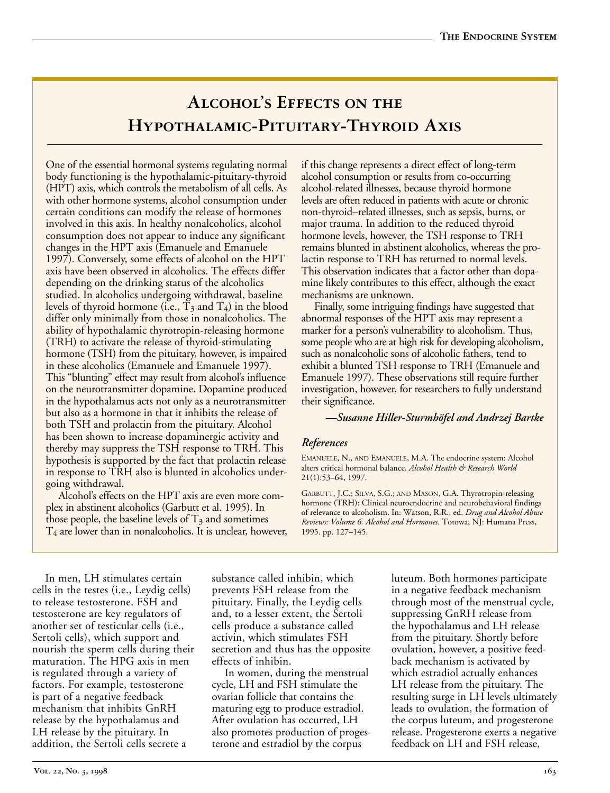# ALCOHOL'S EFFECTS ON THE **Hypothalamic-Pituitary-Thyroid Axis**

One of the essential hormonal systems regulating normal body functioning is the hypothalamic-pituitary-thyroid (HPT) axis, which controls the metabolism of all cells. As with other hormone systems, alcohol consumption under certain conditions can modify the release of hormones involved in this axis. In healthy nonalcoholics, alcohol consumption does not appear to induce any significant changes in the HPT axis (Emanuele and Emanuele 1997). Conversely, some effects of alcohol on the HPT axis have been observed in alcoholics. The effects differ depending on the drinking status of the alcoholics studied. In alcoholics undergoing withdrawal, baseline levels of thyroid hormone (i.e.,  $T_3$  and  $T_4$ ) in the blood differ only minimally from those in nonalcoholics. The ability of hypothalamic thyrotropin-releasing hormone (TRH) to activate the release of thyroid-stimulating hormone (TSH) from the pituitary, however, is impaired in these alcoholics (Emanuele and Emanuele 1997). This "blunting" effect may result from alcohol's influence on the neurotransmitter dopamine. Dopamine produced in the hypothalamus acts not only as a neurotransmitter but also as a hormone in that it inhibits the release of both TSH and prolactin from the pituitary. Alcohol has been shown to increase dopaminergic activity and thereby may suppress the TSH response to TRH. This hypothesis is supported by the fact that prolactin release in response to TRH also is blunted in alcoholics undergoing withdrawal.

Alcohol's effects on the HPT axis are even more complex in abstinent alcoholics (Garbutt et al. 1995). In those people, the baseline levels of  $T_3$  and sometimes  $T<sub>4</sub>$  are lower than in nonalcoholics. It is unclear, however, if this change represents a direct effect of long-term alcohol consumption or results from co-occurring alcohol-related illnesses, because thyroid hormone levels are often reduced in patients with acute or chronic non-thyroid–related illnesses, such as sepsis, burns, or major trauma. In addition to the reduced thyroid hormone levels, however, the TSH response to TRH remains blunted in abstinent alcoholics, whereas the prolactin response to TRH has returned to normal levels. This observation indicates that a factor other than dopamine likely contributes to this effect, although the exact mechanisms are unknown.

Finally, some intriguing findings have suggested that abnormal responses of the HPT axis may represent a marker for a person's vulnerability to alcoholism. Thus, some people who are at high risk for developing alcoholism, such as nonalcoholic sons of alcoholic fathers, tend to exhibit a blunted TSH response to TRH (Emanuele and Emanuele 1997). These observations still require further investigation, however, for researchers to fully understand their significance.

#### *—Susanne Hiller-Sturmhöfel and Andrzej Bartke*

#### *References*

EMANUELE, N., AND EMANUELE, M.A. The endocrine system: Alcohol alters critical hormonal balance. *Alcohol Health & Research World* 21(1):53–64, 1997.

GARBUTT, J.C.; SILVA, S.G.; AND MASON, G.A. Thyrotropin-releasing hormone (TRH): Clinical neuroendocrine and neurobehavioral findings of relevance to alcoholism. In: Watson, R.R., ed. *Drug and Alcohol Abuse Reviews: Volume 6. Alcohol and Hormones*. Totowa, NJ: Humana Press, 1995. pp. 127–145.

In men, LH stimulates certain cells in the testes (i.e., Leydig cells) to release testosterone. FSH and testosterone are key regulators of another set of testicular cells (i.e., Sertoli cells), which support and nourish the sperm cells during their maturation. The HPG axis in men is regulated through a variety of factors. For example, testosterone is part of a negative feedback mechanism that inhibits GnRH release by the hypothalamus and LH release by the pituitary. In addition, the Sertoli cells secrete a

substance called inhibin, which prevents FSH release from the pituitary. Finally, the Leydig cells and, to a lesser extent, the Sertoli cells produce a substance called activin, which stimulates FSH secretion and thus has the opposite effects of inhibin.

In women, during the menstrual cycle, LH and FSH stimulate the ovarian follicle that contains the maturing egg to produce estradiol. After ovulation has occurred, LH also promotes production of progesterone and estradiol by the corpus

luteum. Both hormones participate in a negative feedback mechanism through most of the menstrual cycle, suppressing GnRH release from the hypothalamus and LH release from the pituitary. Shortly before ovulation, however, a positive feedback mechanism is activated by which estradiol actually enhances LH release from the pituitary. The resulting surge in LH levels ultimately leads to ovulation, the formation of the corpus luteum, and progesterone release. Progesterone exerts a negative feedback on LH and FSH release,